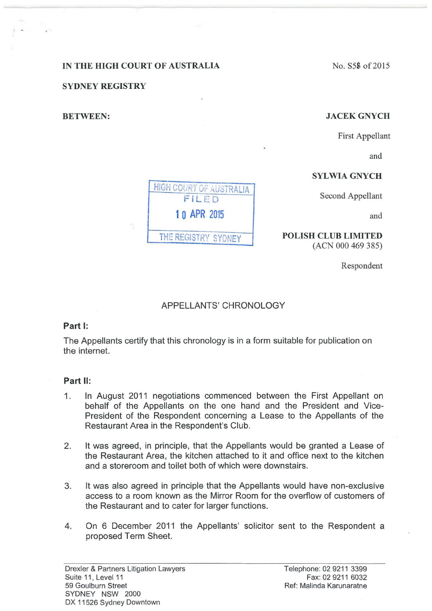# IN THE HIGH COURT OF AUSTRALIA

SYDNEY REGISTRY

### BETWEEN:

### No. S58 of 2015

#### JACEKGNYCH

First Appellant

and

# SYLWIA GNYCH

Second Appellant

and

POLISH CLUB LIMITED (ACN 000 469 385)

Respondent

### APPELLANTS' CHRONOLOGY

HIGH COURT OF AUSTRALIA FILED

**1 0 APR** <sup>2015</sup>

THE REGISTRY SYDNEY

### **Part 1:**

The Appellants certify that this chronology is in a form suitable for publication on the internet.

#### **Part** II:

- 1. In August 2011 negotiations commenced between the First Appellant on behalf of the Appellants on the one hand and the President and Vice-President of the Respondent concerning a Lease to the Appellants of the Restaurant Area in the Respondent's Club.
- 2. It was agreed, in principle, that the Appellants would be granted a Lease of the Restaurant Area, the kitchen attached to it and office next to the kitchen and a storeroom and toilet both of which were downstairs.
- 3. It was also agreed in principle that the Appellants would have non-exclusive access to a room known as the Mirror Room for the overflow of customers of the Restaurant and to cater for larger functions.
- 4. On 6 December 2011 the Appellants' solicitor sent to the Respondent a proposed Term Sheet.

Drexler & Partners Litigation Lawyers Suite 11, Level 11 59 Goulburn Street SYDNEY NSW 2000 DX 11526 Sydney Downtown